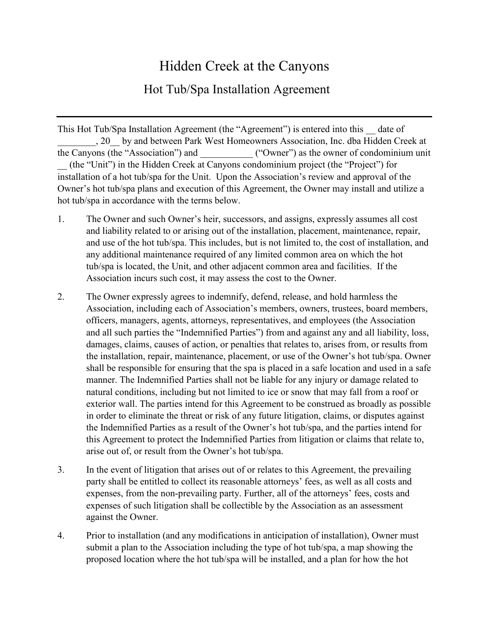## Hidden Creek at the Canyons Hot Tub/Spa Installation Agreement

This Hot Tub/Spa Installation Agreement (the "Agreement") is entered into this date of \_\_\_\_\_\_\_\_, 20\_\_ by and between Park West Homeowners Association, Inc. dba Hidden Creek at the Canyons (the "Association") and ("Owner") as the owner of condominium unit \_\_ (the "Unit") in the Hidden Creek at Canyons condominium project (the "Project") for installation of a hot tub/spa for the Unit. Upon the Association's review and approval of the Owner's hot tub/spa plans and execution of this Agreement, the Owner may install and utilize a hot tub/spa in accordance with the terms below.

- 1. The Owner and such Owner's heir, successors, and assigns, expressly assumes all cost and liability related to or arising out of the installation, placement, maintenance, repair, and use of the hot tub/spa. This includes, but is not limited to, the cost of installation, and any additional maintenance required of any limited common area on which the hot tub/spa is located, the Unit, and other adjacent common area and facilities. If the Association incurs such cost, it may assess the cost to the Owner.
- 2. The Owner expressly agrees to indemnify, defend, release, and hold harmless the Association, including each of Association's members, owners, trustees, board members, officers, managers, agents, attorneys, representatives, and employees (the Association and all such parties the "Indemnified Parties") from and against any and all liability, loss, damages, claims, causes of action, or penalties that relates to, arises from, or results from the installation, repair, maintenance, placement, or use of the Owner's hot tub/spa. Owner shall be responsible for ensuring that the spa is placed in a safe location and used in a safe manner. The Indemnified Parties shall not be liable for any injury or damage related to natural conditions, including but not limited to ice or snow that may fall from a roof or exterior wall. The parties intend for this Agreement to be construed as broadly as possible in order to eliminate the threat or risk of any future litigation, claims, or disputes against the Indemnified Parties as a result of the Owner's hot tub/spa, and the parties intend for this Agreement to protect the Indemnified Parties from litigation or claims that relate to, arise out of, or result from the Owner's hot tub/spa.
- 3. In the event of litigation that arises out of or relates to this Agreement, the prevailing party shall be entitled to collect its reasonable attorneys' fees, as well as all costs and expenses, from the non-prevailing party. Further, all of the attorneys' fees, costs and expenses of such litigation shall be collectible by the Association as an assessment against the Owner.
- 4. Prior to installation (and any modifications in anticipation of installation), Owner must submit a plan to the Association including the type of hot tub/spa, a map showing the proposed location where the hot tub/spa will be installed, and a plan for how the hot